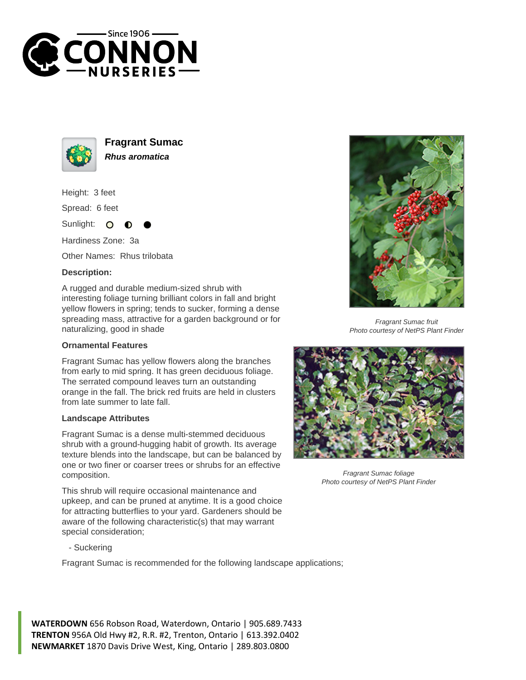



**Fragrant Sumac Rhus aromatica**

Height: 3 feet

Spread: 6 feet

Sunlight:  $\mathbf{O}$ 

Hardiness Zone: 3a

Other Names: Rhus trilobata

## **Description:**

A rugged and durable medium-sized shrub with interesting foliage turning brilliant colors in fall and bright yellow flowers in spring; tends to sucker, forming a dense spreading mass, attractive for a garden background or for naturalizing, good in shade

## **Ornamental Features**

Fragrant Sumac has yellow flowers along the branches from early to mid spring. It has green deciduous foliage. The serrated compound leaves turn an outstanding orange in the fall. The brick red fruits are held in clusters from late summer to late fall.

## **Landscape Attributes**

Fragrant Sumac is a dense multi-stemmed deciduous shrub with a ground-hugging habit of growth. Its average texture blends into the landscape, but can be balanced by one or two finer or coarser trees or shrubs for an effective composition.

This shrub will require occasional maintenance and upkeep, and can be pruned at anytime. It is a good choice for attracting butterflies to your yard. Gardeners should be aware of the following characteristic(s) that may warrant special consideration;



Fragrant Sumac is recommended for the following landscape applications;





Fragrant Sumac fruit Photo courtesy of NetPS Plant Finder



Fragrant Sumac foliage Photo courtesy of NetPS Plant Finder